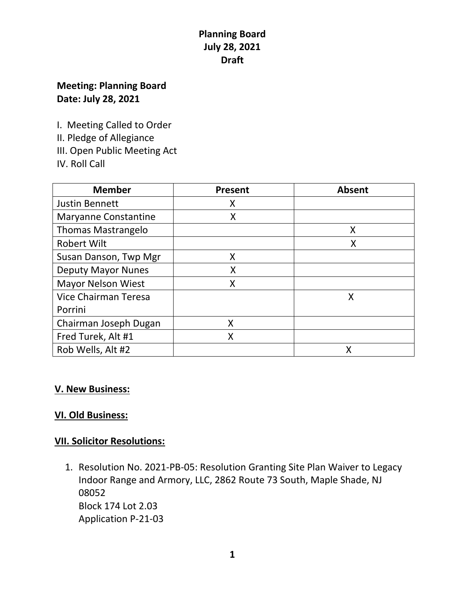# **Planning Board July 28, 2021 Draft**

## **Meeting: Planning Board Date: July 28, 2021**

I. Meeting Called to Order

II. Pledge of Allegiance

III. Open Public Meeting Act

IV. Roll Call

| <b>Member</b>               | Present | <b>Absent</b> |
|-----------------------------|---------|---------------|
| <b>Justin Bennett</b>       | Χ       |               |
| <b>Maryanne Constantine</b> | Χ       |               |
| <b>Thomas Mastrangelo</b>   |         | Χ             |
| <b>Robert Wilt</b>          |         | X             |
| Susan Danson, Twp Mgr       | Χ       |               |
| <b>Deputy Mayor Nunes</b>   | X       |               |
| <b>Mayor Nelson Wiest</b>   | Χ       |               |
| Vice Chairman Teresa        |         | X             |
| Porrini                     |         |               |
| Chairman Joseph Dugan       | X       |               |
| Fred Turek, Alt #1          | X       |               |
| Rob Wells, Alt #2           |         |               |

#### **V. New Business:**

### **VI. Old Business:**

### **VII. Solicitor Resolutions:**

1. Resolution No. 2021-PB-05: Resolution Granting Site Plan Waiver to Legacy Indoor Range and Armory, LLC, 2862 Route 73 South, Maple Shade, NJ 08052 Block 174 Lot 2.03 Application P-21-03